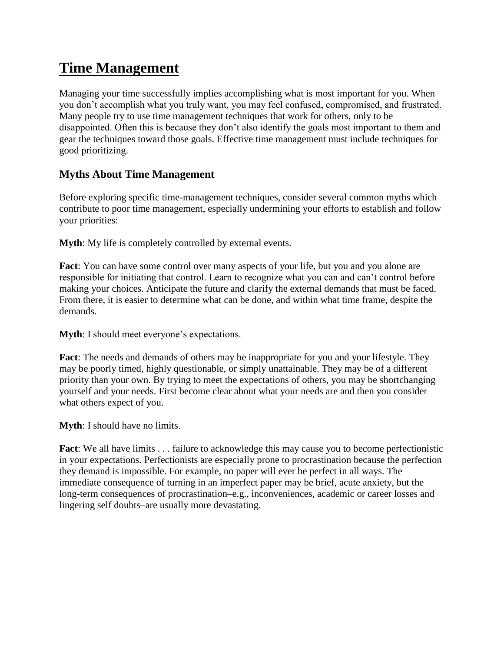# **Time Management**

Managing your time successfully implies accomplishing what is most important for you. When you don't accomplish what you truly want, you may feel confused, compromised, and frustrated. Many people try to use time management techniques that work for others, only to be disappointed. Often this is because they don't also identify the goals most important to them and gear the techniques toward those goals. Effective time management must include techniques for good prioritizing.

## **Myths About Time Management**

Before exploring specific time-management techniques, consider several common myths which contribute to poor time management, especially undermining your efforts to establish and follow your priorities:

**Myth**: My life is completely controlled by external events.

**Fact**: You can have some control over many aspects of your life, but you and you alone are responsible for initiating that control. Learn to recognize what you can and can't control before making your choices. Anticipate the future and clarify the external demands that must be faced. From there, it is easier to determine what can be done, and within what time frame, despite the demands.

**Myth**: I should meet everyone's expectations.

**Fact**: The needs and demands of others may be inappropriate for you and your lifestyle. They may be poorly timed, highly questionable, or simply unattainable. They may be of a different priority than your own. By trying to meet the expectations of others, you may be shortchanging yourself and your needs. First become clear about what your needs are and then you consider what others expect of you.

**Myth**: I should have no limits.

**Fact**: We all have limits . . . failure to acknowledge this may cause you to become perfectionistic in your expectations. Perfectionists are especially prone to procrastination because the perfection they demand is impossible. For example, no paper will ever be perfect in all ways. The immediate consequence of turning in an imperfect paper may be brief, acute anxiety, but the long-term consequences of procrastination–e.g., inconveniences, academic or career losses and lingering self doubts–are usually more devastating.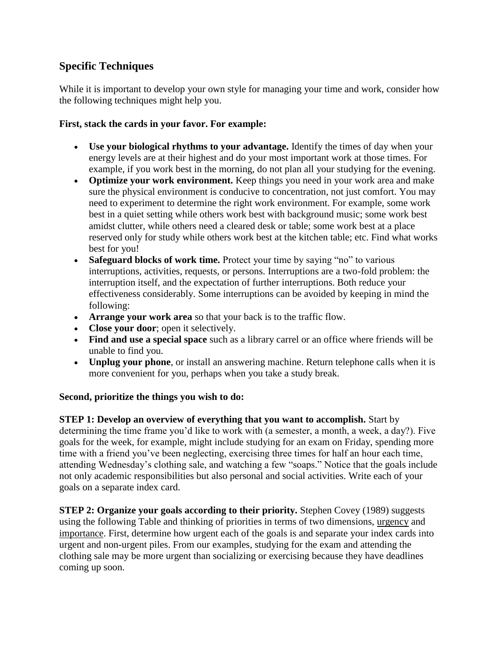### **Specific Techniques**

While it is important to develop your own style for managing your time and work, consider how the following techniques might help you.

#### **First, stack the cards in your favor. For example:**

- **Use your biological rhythms to your advantage.** Identify the times of day when your energy levels are at their highest and do your most important work at those times. For example, if you work best in the morning, do not plan all your studying for the evening.
- **Optimize your work environment.** Keep things you need in your work area and make sure the physical environment is conducive to concentration, not just comfort. You may need to experiment to determine the right work environment. For example, some work best in a quiet setting while others work best with background music; some work best amidst clutter, while others need a cleared desk or table; some work best at a place reserved only for study while others work best at the kitchen table; etc. Find what works best for you!
- **Safeguard blocks of work time.** Protect your time by saying "no" to various interruptions, activities, requests, or persons. Interruptions are a two-fold problem: the interruption itself, and the expectation of further interruptions. Both reduce your effectiveness considerably. Some interruptions can be avoided by keeping in mind the following:
- **Arrange your work area** so that your back is to the traffic flow.
- **Close your door**; open it selectively.
- **Find and use a special space** such as a library carrel or an office where friends will be unable to find you.
- **Unplug your phone**, or install an answering machine. Return telephone calls when it is more convenient for you, perhaps when you take a study break.

#### **Second, prioritize the things you wish to do:**

**STEP 1: Develop an overview of everything that you want to accomplish.** Start by determining the time frame you'd like to work with (a semester, a month, a week, a day?). Five goals for the week, for example, might include studying for an exam on Friday, spending more time with a friend you've been neglecting, exercising three times for half an hour each time, attending Wednesday's clothing sale, and watching a few "soaps." Notice that the goals include not only academic responsibilities but also personal and social activities. Write each of your goals on a separate index card.

**STEP 2: Organize your goals according to their priority.** Stephen Covey (1989) suggests using the following Table and thinking of priorities in terms of two dimensions, urgency and importance. First, determine how urgent each of the goals is and separate your index cards into urgent and non-urgent piles. From our examples, studying for the exam and attending the clothing sale may be more urgent than socializing or exercising because they have deadlines coming up soon.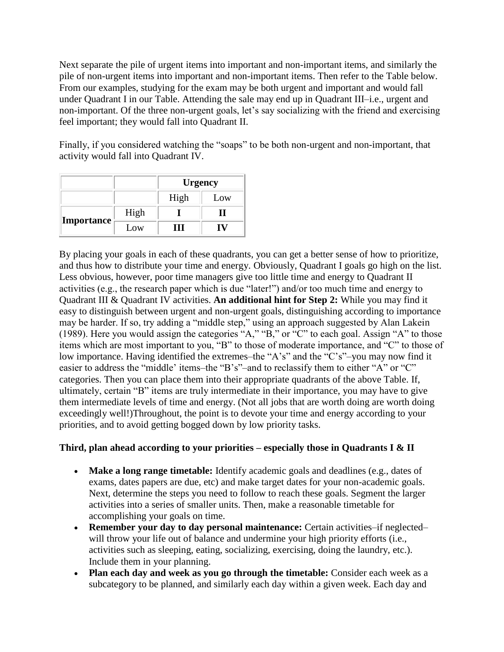Next separate the pile of urgent items into important and non-important items, and similarly the pile of non-urgent items into important and non-important items. Then refer to the Table below. From our examples, studying for the exam may be both urgent and important and would fall under Quadrant I in our Table. Attending the sale may end up in Quadrant III–i.e., urgent and non-important. Of the three non-urgent goals, let's say socializing with the friend and exercising feel important; they would fall into Quadrant II.

Finally, if you considered watching the "soaps" to be both non-urgent and non-important, that activity would fall into Quadrant IV.

|                   |      | <b>Urgency</b> |     |
|-------------------|------|----------------|-----|
|                   |      | High           | Low |
| <b>Importance</b> | High |                |     |
|                   | Low  | . .            |     |

By placing your goals in each of these quadrants, you can get a better sense of how to prioritize, and thus how to distribute your time and energy. Obviously, Quadrant I goals go high on the list. Less obvious, however, poor time managers give too little time and energy to Quadrant II activities (e.g., the research paper which is due "later!") and/or too much time and energy to Quadrant III & Quadrant IV activities. **An additional hint for Step 2:** While you may find it easy to distinguish between urgent and non-urgent goals, distinguishing according to importance may be harder. If so, try adding a "middle step," using an approach suggested by Alan Lakein (1989). Here you would assign the categories "A," "B," or "C" to each goal. Assign "A" to those items which are most important to you, "B" to those of moderate importance, and "C" to those of low importance. Having identified the extremes–the "A's" and the "C's"–you may now find it easier to address the "middle' items–the "B's"–and to reclassify them to either "A" or "C" categories. Then you can place them into their appropriate quadrants of the above Table. If, ultimately, certain "B" items are truly intermediate in their importance, you may have to give them intermediate levels of time and energy. (Not all jobs that are worth doing are worth doing exceedingly well!)Throughout, the point is to devote your time and energy according to your priorities, and to avoid getting bogged down by low priority tasks.

#### **Third, plan ahead according to your priorities – especially those in Quadrants I & II**

- Make a long range timetable: Identify academic goals and deadlines (e.g., dates of exams, dates papers are due, etc) and make target dates for your non-academic goals. Next, determine the steps you need to follow to reach these goals. Segment the larger activities into a series of smaller units. Then, make a reasonable timetable for accomplishing your goals on time.
- **Remember your day to day personal maintenance:** Certain activities–if neglected– will throw your life out of balance and undermine your high priority efforts (i.e., activities such as sleeping, eating, socializing, exercising, doing the laundry, etc.). Include them in your planning.
- **Plan each day and week as you go through the timetable:** Consider each week as a subcategory to be planned, and similarly each day within a given week. Each day and